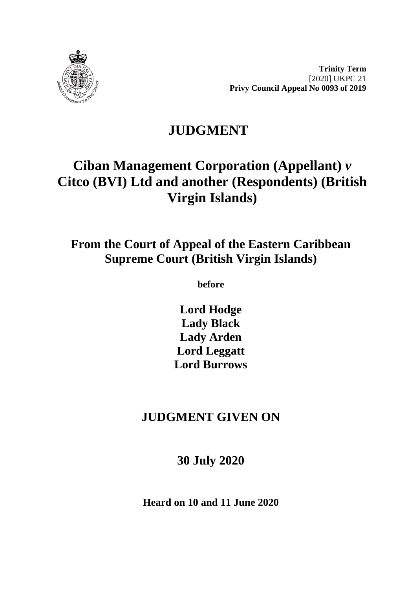

**Trinity Term** [2020] UKPC 21 **Privy Council Appeal No 0093 of 2019**

# **JUDGMENT**

# **Ciban Management Corporation (Appellant)** *v* **Citco (BVI) Ltd and another (Respondents) (British Virgin Islands)**

## **From the Court of Appeal of the Eastern Caribbean Supreme Court (British Virgin Islands)**

**before** 

**Lord Hodge Lady Black Lady Arden Lord Leggatt Lord Burrows**

## **JUDGMENT GIVEN ON**

**30 July 2020**

**Heard on 10 and 11 June 2020**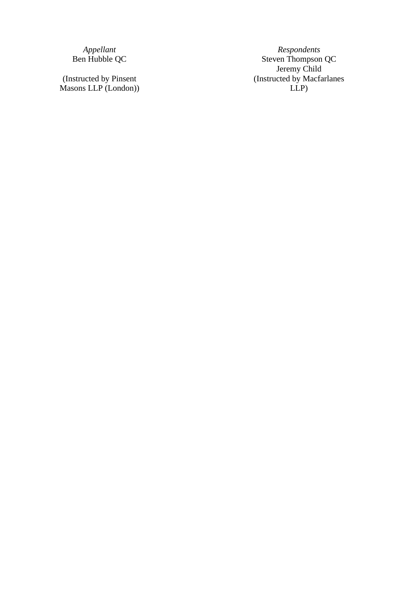(Instructed by Pinsent Masons LLP (London) )

*Appellant Respondent s* Ben Hubble QC and Steven Thompson QC Jeremy Child (Instructed by Macfarlanes LLP )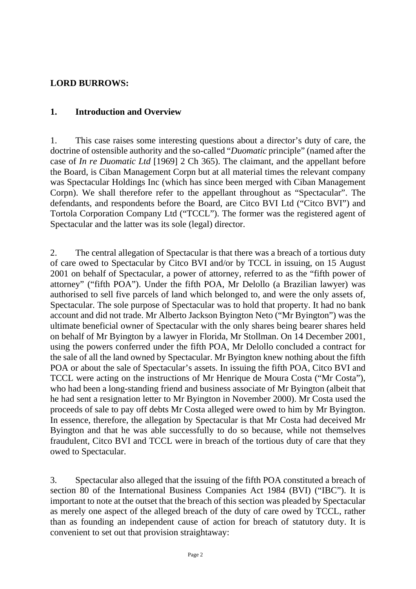#### **LORD BURROWS:**

#### **1. Introduction and Overview**

1. This case raises some interesting questions about a director's duty of care, the doctrine of ostensible authority and the so-called "*Duomatic* principle" (named after the case of *In re Duomatic Ltd* [1969] 2 Ch 365). The claimant, and the appellant before the Board, is Ciban Management Corpn but at all material times the relevant company was Spectacular Holdings Inc (which has since been merged with Ciban Management Corpn). We shall therefore refer to the appellant throughout as "Spectacular". The defendants, and respondents before the Board, are Citco BVI Ltd ("Citco BVI") and Tortola Corporation Company Ltd ("TCCL"). The former was the registered agent of Spectacular and the latter was its sole (legal) director.

2. The central allegation of Spectacular is that there was a breach of a tortious duty of care owed to Spectacular by Citco BVI and/or by TCCL in issuing, on 15 August 2001 on behalf of Spectacular, a power of attorney, referred to as the "fifth power of attorney" ("fifth POA"). Under the fifth POA, Mr Delollo (a Brazilian lawyer) was authorised to sell five parcels of land which belonged to, and were the only assets of, Spectacular. The sole purpose of Spectacular was to hold that property. It had no bank account and did not trade. Mr Alberto Jackson Byington Neto ("Mr Byington") was the ultimate beneficial owner of Spectacular with the only shares being bearer shares held on behalf of Mr Byington by a lawyer in Florida, Mr Stollman. On 14 December 2001, using the powers conferred under the fifth POA, Mr Delollo concluded a contract for the sale of all the land owned by Spectacular. Mr Byington knew nothing about the fifth POA or about the sale of Spectacular's assets. In issuing the fifth POA, Citco BVI and TCCL were acting on the instructions of Mr Henrique de Moura Costa ("Mr Costa"), who had been a long-standing friend and business associate of Mr Byington (albeit that he had sent a resignation letter to Mr Byington in November 2000). Mr Costa used the proceeds of sale to pay off debts Mr Costa alleged were owed to him by Mr Byington. In essence, therefore, the allegation by Spectacular is that Mr Costa had deceived Mr Byington and that he was able successfully to do so because, while not themselves fraudulent, Citco BVI and TCCL were in breach of the tortious duty of care that they owed to Spectacular.

3. Spectacular also alleged that the issuing of the fifth POA constituted a breach of section 80 of the International Business Companies Act 1984 (BVI) ("IBC"). It is important to note at the outset that the breach of this section was pleaded by Spectacular as merely one aspect of the alleged breach of the duty of care owed by TCCL, rather than as founding an independent cause of action for breach of statutory duty. It is convenient to set out that provision straightaway: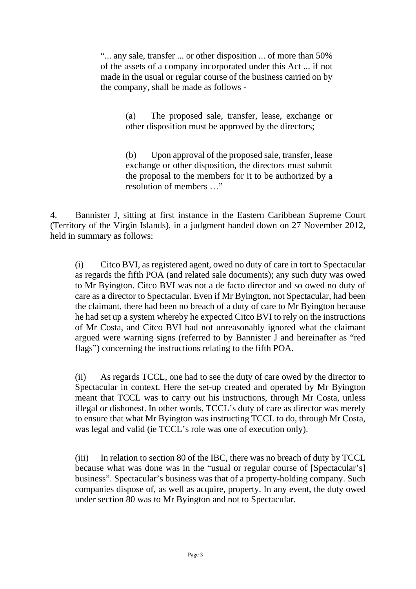"... any sale, transfer ... or other disposition ... of more than 50% of the assets of a company incorporated under this Act ... if not made in the usual or regular course of the business carried on by the company, shall be made as follows -

> (a) The proposed sale, transfer, lease, exchange or other disposition must be approved by the directors;

> (b) Upon approval of the proposed sale, transfer, lease exchange or other disposition, the directors must submit the proposal to the members for it to be authorized by a resolution of members …"

4. Bannister J, sitting at first instance in the Eastern Caribbean Supreme Court (Territory of the Virgin Islands), in a judgment handed down on 27 November 2012, held in summary as follows:

(i) Citco BVI, as registered agent, owed no duty of care in tort to Spectacular as regards the fifth POA (and related sale documents); any such duty was owed to Mr Byington. Citco BVI was not a de facto director and so owed no duty of care as a director to Spectacular. Even if Mr Byington, not Spectacular, had been the claimant, there had been no breach of a duty of care to Mr Byington because he had set up a system whereby he expected Citco BVI to rely on the instructions of Mr Costa, and Citco BVI had not unreasonably ignored what the claimant argued were warning signs (referred to by Bannister J and hereinafter as "red flags") concerning the instructions relating to the fifth POA.

(ii) As regards TCCL, one had to see the duty of care owed by the director to Spectacular in context. Here the set-up created and operated by Mr Byington meant that TCCL was to carry out his instructions, through Mr Costa, unless illegal or dishonest. In other words, TCCL's duty of care as director was merely to ensure that what Mr Byington was instructing TCCL to do, through Mr Costa, was legal and valid (ie TCCL's role was one of execution only).

(iii) In relation to section 80 of the IBC, there was no breach of duty by TCCL because what was done was in the "usual or regular course of [Spectacular's] business". Spectacular's business was that of a property-holding company. Such companies dispose of, as well as acquire, property. In any event, the duty owed under section 80 was to Mr Byington and not to Spectacular.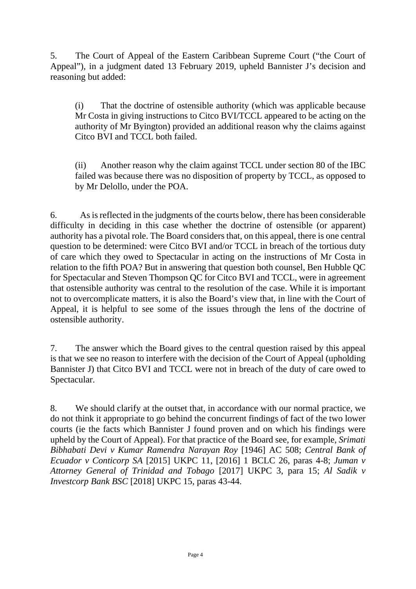5. The Court of Appeal of the Eastern Caribbean Supreme Court ("the Court of Appeal"), in a judgment dated 13 February 2019, upheld Bannister J's decision and reasoning but added:

(i) That the doctrine of ostensible authority (which was applicable because Mr Costa in giving instructions to Citco BVI/TCCL appeared to be acting on the authority of Mr Byington) provided an additional reason why the claims against Citco BVI and TCCL both failed.

(ii) Another reason why the claim against TCCL under section 80 of the IBC failed was because there was no disposition of property by TCCL, as opposed to by Mr Delollo, under the POA.

6. As is reflected in the judgments of the courts below, there has been considerable difficulty in deciding in this case whether the doctrine of ostensible (or apparent) authority has a pivotal role. The Board considers that, on this appeal, there is one central question to be determined: were Citco BVI and/or TCCL in breach of the tortious duty of care which they owed to Spectacular in acting on the instructions of Mr Costa in relation to the fifth POA? But in answering that question both counsel, Ben Hubble QC for Spectacular and Steven Thompson QC for Citco BVI and TCCL, were in agreement that ostensible authority was central to the resolution of the case. While it is important not to overcomplicate matters, it is also the Board's view that, in line with the Court of Appeal, it is helpful to see some of the issues through the lens of the doctrine of ostensible authority.

7. The answer which the Board gives to the central question raised by this appeal is that we see no reason to interfere with the decision of the Court of Appeal (upholding Bannister J) that Citco BVI and TCCL were not in breach of the duty of care owed to Spectacular.

8. We should clarify at the outset that, in accordance with our normal practice, we do not think it appropriate to go behind the concurrent findings of fact of the two lower courts (ie the facts which Bannister J found proven and on which his findings were upheld by the Court of Appeal). For that practice of the Board see, for example, *Srimati Bibhabati Devi v Kumar Ramendra Narayan Roy* [1946] AC 508; *Central Bank of Ecuador v Conticorp SA* [2015] UKPC 11, [2016] 1 BCLC 26, paras 4-8; *Juman v Attorney General of Trinidad and Tobago* [2017] UKPC 3, para 15; *Al Sadik v Investcorp Bank BSC* [2018] UKPC 15, paras 43-44.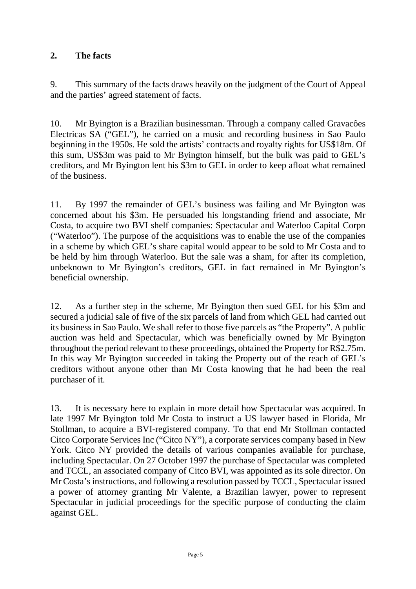#### **2. The facts**

9. This summary of the facts draws heavily on the judgment of the Court of Appeal and the parties' agreed statement of facts.

10. Mr Byington is a Brazilian businessman. Through a company called Gravacôes Electricas SA ("GEL"), he carried on a music and recording business in Sao Paulo beginning in the 1950s. He sold the artists' contracts and royalty rights for US\$18m. Of this sum, US\$3m was paid to Mr Byington himself, but the bulk was paid to GEL's creditors, and Mr Byington lent his \$3m to GEL in order to keep afloat what remained of the business.

11. By 1997 the remainder of GEL's business was failing and Mr Byington was concerned about his \$3m. He persuaded his longstanding friend and associate, Mr Costa, to acquire two BVI shelf companies: Spectacular and Waterloo Capital Corpn ("Waterloo"). The purpose of the acquisitions was to enable the use of the companies in a scheme by which GEL's share capital would appear to be sold to Mr Costa and to be held by him through Waterloo. But the sale was a sham, for after its completion, unbeknown to Mr Byington's creditors, GEL in fact remained in Mr Byington's beneficial ownership.

12. As a further step in the scheme, Mr Byington then sued GEL for his \$3m and secured a judicial sale of five of the six parcels of land from which GEL had carried out its business in Sao Paulo. We shall refer to those five parcels as "the Property". A public auction was held and Spectacular, which was beneficially owned by Mr Byington throughout the period relevant to these proceedings, obtained the Property for R\$2.75m. In this way Mr Byington succeeded in taking the Property out of the reach of GEL's creditors without anyone other than Mr Costa knowing that he had been the real purchaser of it.

13. It is necessary here to explain in more detail how Spectacular was acquired. In late 1997 Mr Byington told Mr Costa to instruct a US lawyer based in Florida, Mr Stollman, to acquire a BVI-registered company. To that end Mr Stollman contacted Citco Corporate Services Inc ("Citco NY"), a corporate services company based in New York. Citco NY provided the details of various companies available for purchase, including Spectacular. On 27 October 1997 the purchase of Spectacular was completed and TCCL, an associated company of Citco BVI, was appointed as its sole director. On Mr Costa's instructions, and following a resolution passed by TCCL, Spectacular issued a power of attorney granting Mr Valente, a Brazilian lawyer, power to represent Spectacular in judicial proceedings for the specific purpose of conducting the claim against GEL.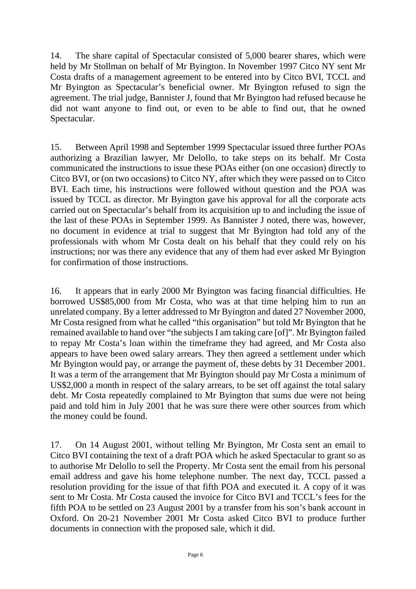14. The share capital of Spectacular consisted of 5,000 bearer shares, which were held by Mr Stollman on behalf of Mr Byington. In November 1997 Citco NY sent Mr Costa drafts of a management agreement to be entered into by Citco BVI, TCCL and Mr Byington as Spectacular's beneficial owner. Mr Byington refused to sign the agreement. The trial judge, Bannister J, found that Mr Byington had refused because he did not want anyone to find out, or even to be able to find out, that he owned Spectacular.

15. Between April 1998 and September 1999 Spectacular issued three further POAs authorizing a Brazilian lawyer, Mr Delollo, to take steps on its behalf. Mr Costa communicated the instructions to issue these POAs either (on one occasion) directly to Citco BVI, or (on two occasions) to Citco NY, after which they were passed on to Citco BVI. Each time, his instructions were followed without question and the POA was issued by TCCL as director. Mr Byington gave his approval for all the corporate acts carried out on Spectacular's behalf from its acquisition up to and including the issue of the last of these POAs in September 1999. As Bannister J noted, there was, however, no document in evidence at trial to suggest that Mr Byington had told any of the professionals with whom Mr Costa dealt on his behalf that they could rely on his instructions; nor was there any evidence that any of them had ever asked Mr Byington for confirmation of those instructions.

16. It appears that in early 2000 Mr Byington was facing financial difficulties. He borrowed US\$85,000 from Mr Costa, who was at that time helping him to run an unrelated company. By a letter addressed to Mr Byington and dated 27 November 2000, Mr Costa resigned from what he called "this organisation" but told Mr Byington that he remained available to hand over "the subjects I am taking care [of]". Mr Byington failed to repay Mr Costa's loan within the timeframe they had agreed, and Mr Costa also appears to have been owed salary arrears. They then agreed a settlement under which Mr Byington would pay, or arrange the payment of, these debts by 31 December 2001. It was a term of the arrangement that Mr Byington should pay Mr Costa a minimum of US\$2,000 a month in respect of the salary arrears, to be set off against the total salary debt. Mr Costa repeatedly complained to Mr Byington that sums due were not being paid and told him in July 2001 that he was sure there were other sources from which the money could be found.

17. On 14 August 2001, without telling Mr Byington, Mr Costa sent an email to Citco BVI containing the text of a draft POA which he asked Spectacular to grant so as to authorise Mr Delollo to sell the Property. Mr Costa sent the email from his personal email address and gave his home telephone number. The next day, TCCL passed a resolution providing for the issue of that fifth POA and executed it. A copy of it was sent to Mr Costa. Mr Costa caused the invoice for Citco BVI and TCCL's fees for the fifth POA to be settled on 23 August 2001 by a transfer from his son's bank account in Oxford. On 20-21 November 2001 Mr Costa asked Citco BVI to produce further documents in connection with the proposed sale, which it did.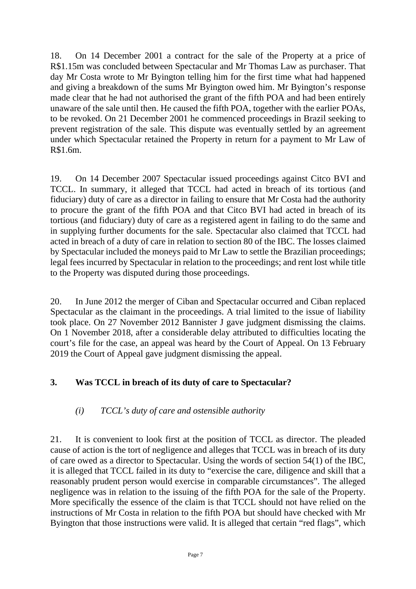18. On 14 December 2001 a contract for the sale of the Property at a price of R\$1.15m was concluded between Spectacular and Mr Thomas Law as purchaser. That day Mr Costa wrote to Mr Byington telling him for the first time what had happened and giving a breakdown of the sums Mr Byington owed him. Mr Byington's response made clear that he had not authorised the grant of the fifth POA and had been entirely unaware of the sale until then. He caused the fifth POA, together with the earlier POAs, to be revoked. On 21 December 2001 he commenced proceedings in Brazil seeking to prevent registration of the sale. This dispute was eventually settled by an agreement under which Spectacular retained the Property in return for a payment to Mr Law of R\$1.6m.

19. On 14 December 2007 Spectacular issued proceedings against Citco BVI and TCCL. In summary, it alleged that TCCL had acted in breach of its tortious (and fiduciary) duty of care as a director in failing to ensure that Mr Costa had the authority to procure the grant of the fifth POA and that Citco BVI had acted in breach of its tortious (and fiduciary) duty of care as a registered agent in failing to do the same and in supplying further documents for the sale. Spectacular also claimed that TCCL had acted in breach of a duty of care in relation to section 80 of the IBC. The losses claimed by Spectacular included the moneys paid to Mr Law to settle the Brazilian proceedings; legal fees incurred by Spectacular in relation to the proceedings; and rent lost while title to the Property was disputed during those proceedings.

20. In June 2012 the merger of Ciban and Spectacular occurred and Ciban replaced Spectacular as the claimant in the proceedings. A trial limited to the issue of liability took place. On 27 November 2012 Bannister J gave judgment dismissing the claims. On 1 November 2018, after a considerable delay attributed to difficulties locating the court's file for the case, an appeal was heard by the Court of Appeal. On 13 February 2019 the Court of Appeal gave judgment dismissing the appeal.

#### **3. Was TCCL in breach of its duty of care to Spectacular?**

#### *(i) TCCL's duty of care and ostensible authority*

21. It is convenient to look first at the position of TCCL as director. The pleaded cause of action is the tort of negligence and alleges that TCCL was in breach of its duty of care owed as a director to Spectacular. Using the words of section 54(1) of the IBC, it is alleged that TCCL failed in its duty to "exercise the care, diligence and skill that a reasonably prudent person would exercise in comparable circumstances". The alleged negligence was in relation to the issuing of the fifth POA for the sale of the Property. More specifically the essence of the claim is that TCCL should not have relied on the instructions of Mr Costa in relation to the fifth POA but should have checked with Mr Byington that those instructions were valid. It is alleged that certain "red flags", which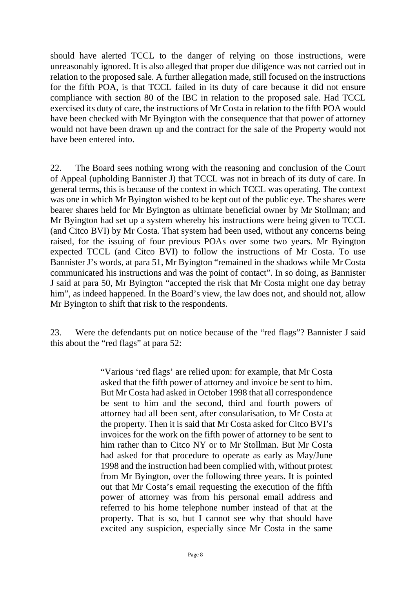should have alerted TCCL to the danger of relying on those instructions, were unreasonably ignored. It is also alleged that proper due diligence was not carried out in relation to the proposed sale. A further allegation made, still focused on the instructions for the fifth POA, is that TCCL failed in its duty of care because it did not ensure compliance with section 80 of the IBC in relation to the proposed sale. Had TCCL exercised its duty of care, the instructions of Mr Costa in relation to the fifth POA would have been checked with Mr Byington with the consequence that that power of attorney would not have been drawn up and the contract for the sale of the Property would not have been entered into.

22. The Board sees nothing wrong with the reasoning and conclusion of the Court of Appeal (upholding Bannister J) that TCCL was not in breach of its duty of care. In general terms, this is because of the context in which TCCL was operating. The context was one in which Mr Byington wished to be kept out of the public eye. The shares were bearer shares held for Mr Byington as ultimate beneficial owner by Mr Stollman; and Mr Byington had set up a system whereby his instructions were being given to TCCL (and Citco BVI) by Mr Costa. That system had been used, without any concerns being raised, for the issuing of four previous POAs over some two years. Mr Byington expected TCCL (and Citco BVI) to follow the instructions of Mr Costa. To use Bannister J's words, at para 51, Mr Byington "remained in the shadows while Mr Costa communicated his instructions and was the point of contact". In so doing, as Bannister J said at para 50, Mr Byington "accepted the risk that Mr Costa might one day betray him", as indeed happened. In the Board's view, the law does not, and should not, allow Mr Byington to shift that risk to the respondents.

23. Were the defendants put on notice because of the "red flags"? Bannister J said this about the "red flags" at para 52:

> "Various 'red flags' are relied upon: for example, that Mr Costa asked that the fifth power of attorney and invoice be sent to him. But Mr Costa had asked in October 1998 that all correspondence be sent to him and the second, third and fourth powers of attorney had all been sent, after consularisation, to Mr Costa at the property. Then it is said that Mr Costa asked for Citco BVI's invoices for the work on the fifth power of attorney to be sent to him rather than to Citco NY or to Mr Stollman. But Mr Costa had asked for that procedure to operate as early as May/June 1998 and the instruction had been complied with, without protest from Mr Byington, over the following three years. It is pointed out that Mr Costa's email requesting the execution of the fifth power of attorney was from his personal email address and referred to his home telephone number instead of that at the property. That is so, but I cannot see why that should have excited any suspicion, especially since Mr Costa in the same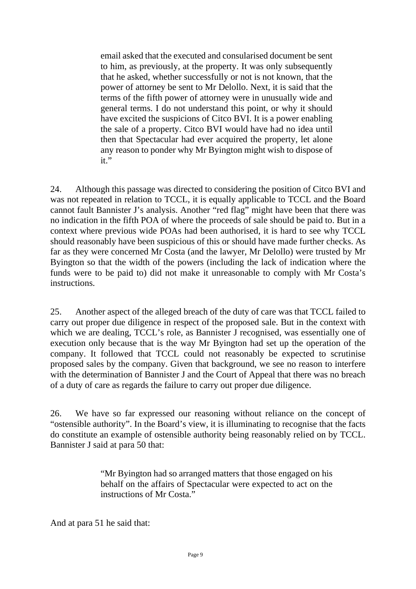email asked that the executed and consularised document be sent to him, as previously, at the property. It was only subsequently that he asked, whether successfully or not is not known, that the power of attorney be sent to Mr Delollo. Next, it is said that the terms of the fifth power of attorney were in unusually wide and general terms. I do not understand this point, or why it should have excited the suspicions of Citco BVI. It is a power enabling the sale of a property. Citco BVI would have had no idea until then that Spectacular had ever acquired the property, let alone any reason to ponder why Mr Byington might wish to dispose of it."

24. Although this passage was directed to considering the position of Citco BVI and was not repeated in relation to TCCL, it is equally applicable to TCCL and the Board cannot fault Bannister J's analysis. Another "red flag" might have been that there was no indication in the fifth POA of where the proceeds of sale should be paid to. But in a context where previous wide POAs had been authorised, it is hard to see why TCCL should reasonably have been suspicious of this or should have made further checks. As far as they were concerned Mr Costa (and the lawyer, Mr Delollo) were trusted by Mr Byington so that the width of the powers (including the lack of indication where the funds were to be paid to) did not make it unreasonable to comply with Mr Costa's instructions.

25. Another aspect of the alleged breach of the duty of care was that TCCL failed to carry out proper due diligence in respect of the proposed sale. But in the context with which we are dealing, TCCL's role, as Bannister J recognised, was essentially one of execution only because that is the way Mr Byington had set up the operation of the company. It followed that TCCL could not reasonably be expected to scrutinise proposed sales by the company. Given that background, we see no reason to interfere with the determination of Bannister J and the Court of Appeal that there was no breach of a duty of care as regards the failure to carry out proper due diligence.

26. We have so far expressed our reasoning without reliance on the concept of "ostensible authority". In the Board's view, it is illuminating to recognise that the facts do constitute an example of ostensible authority being reasonably relied on by TCCL. Bannister J said at para 50 that:

> "Mr Byington had so arranged matters that those engaged on his behalf on the affairs of Spectacular were expected to act on the instructions of Mr Costa."

And at para 51 he said that: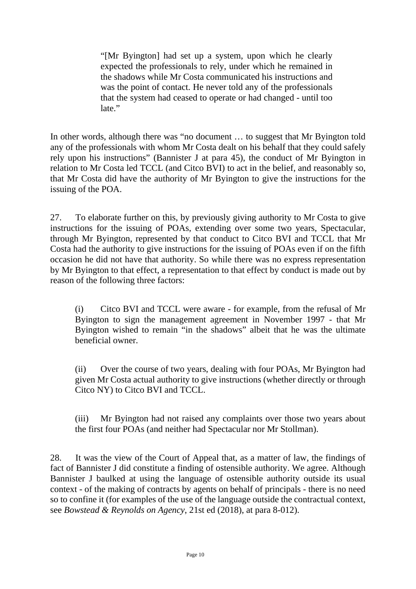"[Mr Byington] had set up a system, upon which he clearly expected the professionals to rely, under which he remained in the shadows while Mr Costa communicated his instructions and was the point of contact. He never told any of the professionals that the system had ceased to operate or had changed - until too late."

In other words, although there was "no document … to suggest that Mr Byington told any of the professionals with whom Mr Costa dealt on his behalf that they could safely rely upon his instructions" (Bannister J at para 45), the conduct of Mr Byington in relation to Mr Costa led TCCL (and Citco BVI) to act in the belief, and reasonably so, that Mr Costa did have the authority of Mr Byington to give the instructions for the issuing of the POA.

27. To elaborate further on this, by previously giving authority to Mr Costa to give instructions for the issuing of POAs, extending over some two years, Spectacular, through Mr Byington, represented by that conduct to Citco BVI and TCCL that Mr Costa had the authority to give instructions for the issuing of POAs even if on the fifth occasion he did not have that authority. So while there was no express representation by Mr Byington to that effect, a representation to that effect by conduct is made out by reason of the following three factors:

(i) Citco BVI and TCCL were aware - for example, from the refusal of Mr Byington to sign the management agreement in November 1997 - that Mr Byington wished to remain "in the shadows" albeit that he was the ultimate beneficial owner.

(ii) Over the course of two years, dealing with four POAs, Mr Byington had given Mr Costa actual authority to give instructions (whether directly or through Citco NY) to Citco BVI and TCCL.

(iii) Mr Byington had not raised any complaints over those two years about the first four POAs (and neither had Spectacular nor Mr Stollman).

28. It was the view of the Court of Appeal that, as a matter of law, the findings of fact of Bannister J did constitute a finding of ostensible authority. We agree. Although Bannister J baulked at using the language of ostensible authority outside its usual context - of the making of contracts by agents on behalf of principals - there is no need so to confine it (for examples of the use of the language outside the contractual context, see *Bowstead & Reynolds on Agency*, 21st ed (2018), at para 8-012).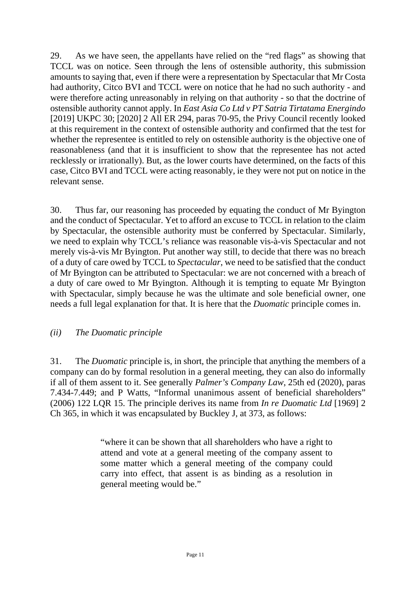29. As we have seen, the appellants have relied on the "red flags" as showing that TCCL was on notice. Seen through the lens of ostensible authority, this submission amounts to saying that, even if there were a representation by Spectacular that Mr Costa had authority, Citco BVI and TCCL were on notice that he had no such authority - and were therefore acting unreasonably in relying on that authority - so that the doctrine of ostensible authority cannot apply. In *East Asia Co Ltd v PT Satria Tirtatama Energindo*  [2019] UKPC 30; [2020] 2 All ER 294, paras 70-95, the Privy Council recently looked at this requirement in the context of ostensible authority and confirmed that the test for whether the representee is entitled to rely on ostensible authority is the objective one of reasonableness (and that it is insufficient to show that the representee has not acted recklessly or irrationally). But, as the lower courts have determined, on the facts of this case, Citco BVI and TCCL were acting reasonably, ie they were not put on notice in the relevant sense.

30. Thus far, our reasoning has proceeded by equating the conduct of Mr Byington and the conduct of Spectacular. Yet to afford an excuse to TCCL in relation to the claim by Spectacular, the ostensible authority must be conferred by Spectacular. Similarly, we need to explain why TCCL's reliance was reasonable vis-à-vis Spectacular and not merely vis-à-vis Mr Byington. Put another way still, to decide that there was no breach of a duty of care owed by TCCL to *Spectacular*, we need to be satisfied that the conduct of Mr Byington can be attributed to Spectacular: we are not concerned with a breach of a duty of care owed to Mr Byington. Although it is tempting to equate Mr Byington with Spectacular, simply because he was the ultimate and sole beneficial owner, one needs a full legal explanation for that. It is here that the *Duomatic* principle comes in.

#### *(ii) The Duomatic principle*

31. The *Duomatic* principle is, in short, the principle that anything the members of a company can do by formal resolution in a general meeting, they can also do informally if all of them assent to it. See generally *Palmer's Company Law*, 25th ed (2020), paras 7.434-7.449; and P Watts, "Informal unanimous assent of beneficial shareholders" (2006) 122 LQR 15. The principle derives its name from *In re Duomatic Ltd* [1969] 2 Ch 365, in which it was encapsulated by Buckley J, at 373, as follows:

> "where it can be shown that all shareholders who have a right to attend and vote at a general meeting of the company assent to some matter which a general meeting of the company could carry into effect, that assent is as binding as a resolution in general meeting would be."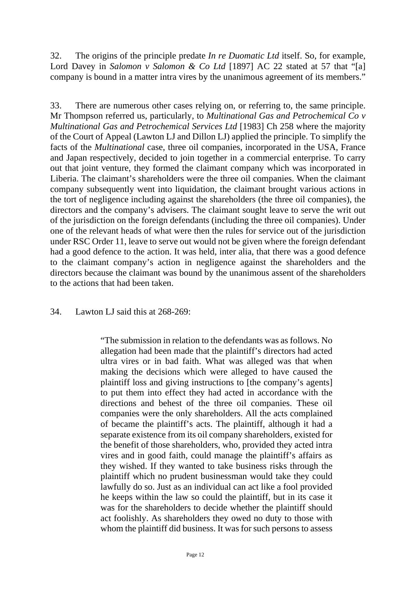32. The origins of the principle predate *In re Duomatic Ltd* itself. So, for example, Lord Davey in *Salomon v Salomon & Co Ltd* [1897] AC 22 stated at 57 that "[a] company is bound in a matter intra vires by the unanimous agreement of its members."

33. There are numerous other cases relying on, or referring to, the same principle. Mr Thompson referred us, particularly, to *Multinational Gas and Petrochemical Co v Multinational Gas and Petrochemical Services Ltd* [1983] Ch 258 where the majority of the Court of Appeal (Lawton LJ and Dillon LJ) applied the principle. To simplify the facts of the *Multinational* case, three oil companies, incorporated in the USA, France and Japan respectively, decided to join together in a commercial enterprise. To carry out that joint venture, they formed the claimant company which was incorporated in Liberia. The claimant's shareholders were the three oil companies. When the claimant company subsequently went into liquidation, the claimant brought various actions in the tort of negligence including against the shareholders (the three oil companies), the directors and the company's advisers. The claimant sought leave to serve the writ out of the jurisdiction on the foreign defendants (including the three oil companies). Under one of the relevant heads of what were then the rules for service out of the jurisdiction under RSC Order 11, leave to serve out would not be given where the foreign defendant had a good defence to the action. It was held, inter alia, that there was a good defence to the claimant company's action in negligence against the shareholders and the directors because the claimant was bound by the unanimous assent of the shareholders to the actions that had been taken.

34. Lawton LJ said this at 268-269:

"The submission in relation to the defendants was as follows. No allegation had been made that the plaintiff's directors had acted ultra vires or in bad faith. What was alleged was that when making the decisions which were alleged to have caused the plaintiff loss and giving instructions to [the company's agents] to put them into effect they had acted in accordance with the directions and behest of the three oil companies. These oil companies were the only shareholders. All the acts complained of became the plaintiff's acts. The plaintiff, although it had a separate existence from its oil company shareholders, existed for the benefit of those shareholders, who, provided they acted intra vires and in good faith, could manage the plaintiff's affairs as they wished. If they wanted to take business risks through the plaintiff which no prudent businessman would take they could lawfully do so. Just as an individual can act like a fool provided he keeps within the law so could the plaintiff, but in its case it was for the shareholders to decide whether the plaintiff should act foolishly. As shareholders they owed no duty to those with whom the plaintiff did business. It was for such persons to assess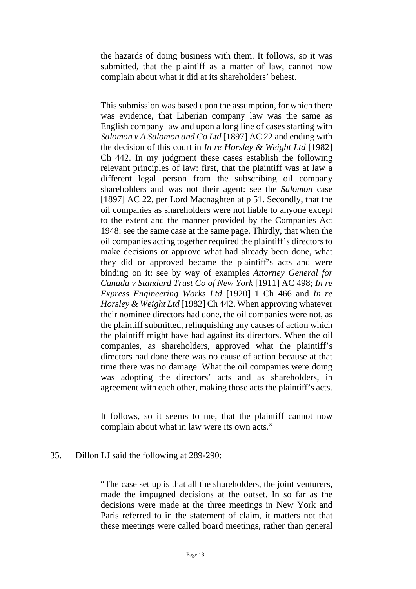the hazards of doing business with them. It follows, so it was submitted, that the plaintiff as a matter of law, cannot now complain about what it did at its shareholders' behest.

This submission was based upon the assumption, for which there was evidence, that Liberian company law was the same as English company law and upon a long line of cases starting with *Salomon v A Salomon and Co Ltd* [1897] AC 22 and ending with the decision of this court in *In re Horsley & Weight Ltd* [1982] Ch 442. In my judgment these cases establish the following relevant principles of law: first, that the plaintiff was at law a different legal person from the subscribing oil company shareholders and was not their agent: see the *Salomon* case [1897] AC 22, per Lord Macnaghten at p 51. Secondly, that the oil companies as shareholders were not liable to anyone except to the extent and the manner provided by the Companies Act 1948: see the same case at the same page. Thirdly, that when the oil companies acting together required the plaintiff's directors to make decisions or approve what had already been done, what they did or approved became the plaintiff's acts and were binding on it: see by way of examples *Attorney General for Canada v Standard Trust Co of New York* [1911] AC 498; *In re Express Engineering Works Ltd* [1920] 1 Ch 466 and *In re Horsley & Weight Ltd* [1982] Ch 442. When approving whatever their nominee directors had done, the oil companies were not, as the plaintiff submitted, relinquishing any causes of action which the plaintiff might have had against its directors. When the oil companies, as shareholders, approved what the plaintiff's directors had done there was no cause of action because at that time there was no damage. What the oil companies were doing was adopting the directors' acts and as shareholders, in agreement with each other, making those acts the plaintiff's acts.

It follows, so it seems to me, that the plaintiff cannot now complain about what in law were its own acts."

#### 35. Dillon LJ said the following at 289-290:

"The case set up is that all the shareholders, the joint venturers, made the impugned decisions at the outset. In so far as the decisions were made at the three meetings in New York and Paris referred to in the statement of claim, it matters not that these meetings were called board meetings, rather than general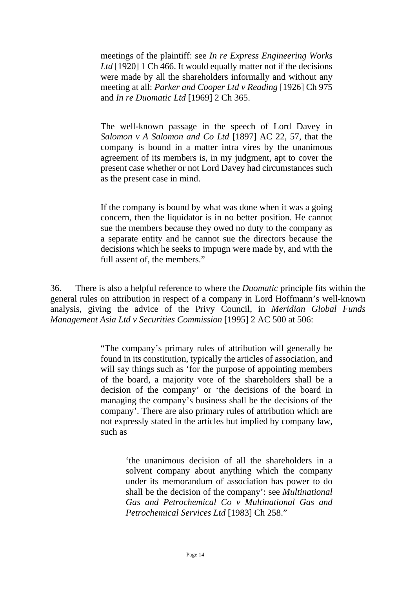meetings of the plaintiff: see *In re Express Engineering Works*  Ltd<sup>[1920]</sup> 1 Ch 466. It would equally matter not if the decisions were made by all the shareholders informally and without any meeting at all: *Parker and Cooper Ltd v Reading* [1926] Ch 975 and *In re Duomatic Ltd* [1969] 2 Ch 365.

The well-known passage in the speech of Lord Davey in *Salomon v A Salomon and Co Ltd* [1897] AC 22, 57, that the company is bound in a matter intra vires by the unanimous agreement of its members is, in my judgment, apt to cover the present case whether or not Lord Davey had circumstances such as the present case in mind.

If the company is bound by what was done when it was a going concern, then the liquidator is in no better position. He cannot sue the members because they owed no duty to the company as a separate entity and he cannot sue the directors because the decisions which he seeks to impugn were made by, and with the full assent of, the members."

36. There is also a helpful reference to where the *Duomatic* principle fits within the general rules on attribution in respect of a company in Lord Hoffmann's well-known analysis, giving the advice of the Privy Council, in *Meridian Global Funds Management Asia Ltd v Securities Commission* [1995] 2 AC 500 at 506:

> "The company's primary rules of attribution will generally be found in its constitution, typically the articles of association, and will say things such as 'for the purpose of appointing members of the board, a majority vote of the shareholders shall be a decision of the company' or 'the decisions of the board in managing the company's business shall be the decisions of the company'. There are also primary rules of attribution which are not expressly stated in the articles but implied by company law, such as

> > 'the unanimous decision of all the shareholders in a solvent company about anything which the company under its memorandum of association has power to do shall be the decision of the company': see *Multinational Gas and Petrochemical Co v Multinational Gas and Petrochemical Services Ltd* [1983] Ch 258."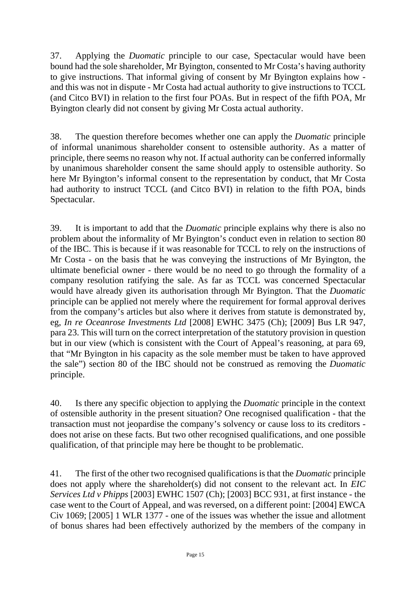37. Applying the *Duomatic* principle to our case, Spectacular would have been bound had the sole shareholder, Mr Byington, consented to Mr Costa's having authority to give instructions. That informal giving of consent by Mr Byington explains how and this was not in dispute - Mr Costa had actual authority to give instructions to TCCL (and Citco BVI) in relation to the first four POAs. But in respect of the fifth POA, Mr Byington clearly did not consent by giving Mr Costa actual authority.

38. The question therefore becomes whether one can apply the *Duomatic* principle of informal unanimous shareholder consent to ostensible authority. As a matter of principle, there seems no reason why not. If actual authority can be conferred informally by unanimous shareholder consent the same should apply to ostensible authority. So here Mr Byington's informal consent to the representation by conduct, that Mr Costa had authority to instruct TCCL (and Citco BVI) in relation to the fifth POA, binds Spectacular.

39. It is important to add that the *Duomatic* principle explains why there is also no problem about the informality of Mr Byington's conduct even in relation to section 80 of the IBC. This is because if it was reasonable for TCCL to rely on the instructions of Mr Costa - on the basis that he was conveying the instructions of Mr Byington, the ultimate beneficial owner - there would be no need to go through the formality of a company resolution ratifying the sale. As far as TCCL was concerned Spectacular would have already given its authorisation through Mr Byington. That the *Duomatic*  principle can be applied not merely where the requirement for formal approval derives from the company's articles but also where it derives from statute is demonstrated by, eg, *In re Oceanrose Investments Ltd* [2008] EWHC 3475 (Ch); [2009] Bus LR 947, para 23. This will turn on the correct interpretation of the statutory provision in question but in our view (which is consistent with the Court of Appeal's reasoning, at para 69, that "Mr Byington in his capacity as the sole member must be taken to have approved the sale") section 80 of the IBC should not be construed as removing the *Duomatic*  principle.

40. Is there any specific objection to applying the *Duomatic* principle in the context of ostensible authority in the present situation? One recognised qualification - that the transaction must not jeopardise the company's solvency or cause loss to its creditors does not arise on these facts. But two other recognised qualifications, and one possible qualification, of that principle may here be thought to be problematic.

41. The first of the other two recognised qualifications is that the *Duomatic* principle does not apply where the shareholder(s) did not consent to the relevant act. In *EIC Services Ltd v Phipps* [2003] EWHC 1507 (Ch); [2003] BCC 931, at first instance - the case went to the Court of Appeal, and was reversed, on a different point: [2004] EWCA Civ 1069; [2005] 1 WLR 1377 - one of the issues was whether the issue and allotment of bonus shares had been effectively authorized by the members of the company in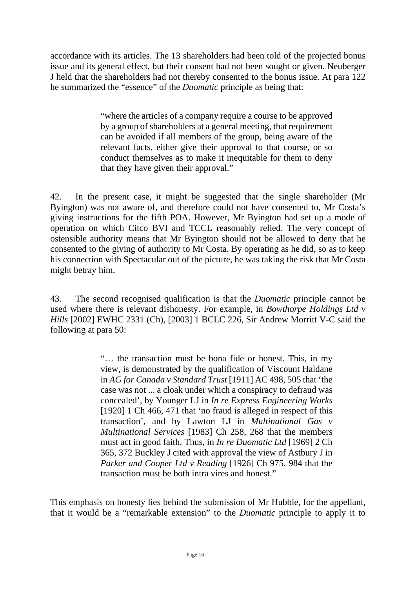accordance with its articles. The 13 shareholders had been told of the projected bonus issue and its general effect, but their consent had not been sought or given. Neuberger J held that the shareholders had not thereby consented to the bonus issue. At para 122 he summarized the "essence" of the *Duomatic* principle as being that:

> "where the articles of a company require a course to be approved by a group of shareholders at a general meeting, that requirement can be avoided if all members of the group, being aware of the relevant facts, either give their approval to that course, or so conduct themselves as to make it inequitable for them to deny that they have given their approval."

42. In the present case, it might be suggested that the single shareholder (Mr Byington) was not aware of, and therefore could not have consented to, Mr Costa's giving instructions for the fifth POA. However, Mr Byington had set up a mode of operation on which Citco BVI and TCCL reasonably relied. The very concept of ostensible authority means that Mr Byington should not be allowed to deny that he consented to the giving of authority to Mr Costa. By operating as he did, so as to keep his connection with Spectacular out of the picture, he was taking the risk that Mr Costa might betray him.

43. The second recognised qualification is that the *Duomatic* principle cannot be used where there is relevant dishonesty. For example, in *Bowthorpe Holdings Ltd v Hills* [2002] EWHC 2331 (Ch), [2003] 1 BCLC 226, Sir Andrew Morritt V-C said the following at para 50:

> "… the transaction must be bona fide or honest. This, in my view, is demonstrated by the qualification of Viscount Haldane in *AG for Canada v Standard Trust* [1911] AC 498, 505 that 'the case was not ... a cloak under which a conspiracy to defraud was concealed', by Younger LJ in *In re Express Engineering Works* [1920] 1 Ch 466, 471 that 'no fraud is alleged in respect of this transaction', and by Lawton LJ in *Multinational Gas v Multinational Services* [1983] Ch 258, 268 that the members must act in good faith. Thus, in *In re Duomatic Ltd* [1969] 2 Ch 365, 372 Buckley J cited with approval the view of Astbury J in *Parker and Cooper Ltd v Reading* [1926] Ch 975, 984 that the transaction must be both intra vires and honest."

This emphasis on honesty lies behind the submission of Mr Hubble, for the appellant, that it would be a "remarkable extension" to the *Duomatic* principle to apply it to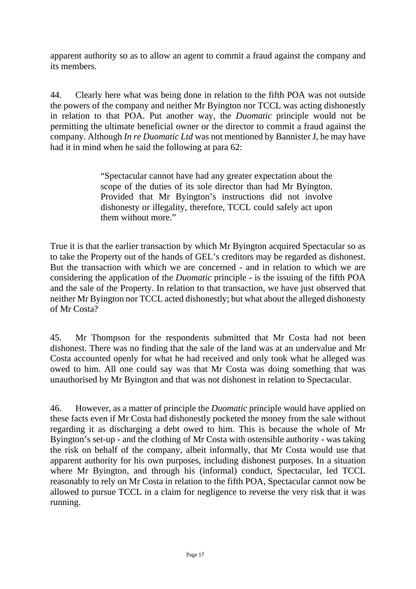apparent authority so as to allow an agent to commit a fraud against the company and its members.

44. Clearly here what was being done in relation to the fifth POA was not outside the powers of the company and neither Mr Byington nor TCCL was acting dishonestly in relation to that POA. Put another way, the *Duomatic* principle would not be permitting the ultimate beneficial owner or the director to commit a fraud against the company. Although *In re Duomatic Ltd* was not mentioned by Bannister J, he may have had it in mind when he said the following at para 62:

> "Spectacular cannot have had any greater expectation about the scope of the duties of its sole director than had Mr Byington. Provided that Mr Byington's instructions did not involve dishonesty or illegality, therefore, TCCL could safely act upon them without more."

True it is that the earlier transaction by which Mr Byington acquired Spectacular so as to take the Property out of the hands of GEL's creditors may be regarded as dishonest. But the transaction with which we are concerned - and in relation to which we are considering the application of the *Duomatic* principle - is the issuing of the fifth POA and the sale of the Property. In relation to that transaction, we have just observed that neither Mr Byington nor TCCL acted dishonestly; but what about the alleged dishonesty of Mr Costa?

45. Mr Thompson for the respondents submitted that Mr Costa had not been dishonest. There was no finding that the sale of the land was at an undervalue and Mr Costa accounted openly for what he had received and only took what he alleged was owed to him. All one could say was that Mr Costa was doing something that was unauthorised by Mr Byington and that was not dishonest in relation to Spectacular.

46. However, as a matter of principle the *Duomatic* principle would have applied on these facts even if Mr Costa had dishonestly pocketed the money from the sale without regarding it as discharging a debt owed to him. This is because the whole of Mr Byington's set-up - and the clothing of Mr Costa with ostensible authority - was taking the risk on behalf of the company, albeit informally, that Mr Costa would use that apparent authority for his own purposes, including dishonest purposes. In a situation where Mr Byington, and through his (informal) conduct, Spectacular, led TCCL reasonably to rely on Mr Costa in relation to the fifth POA, Spectacular cannot now be allowed to pursue TCCL in a claim for negligence to reverse the very risk that it was running.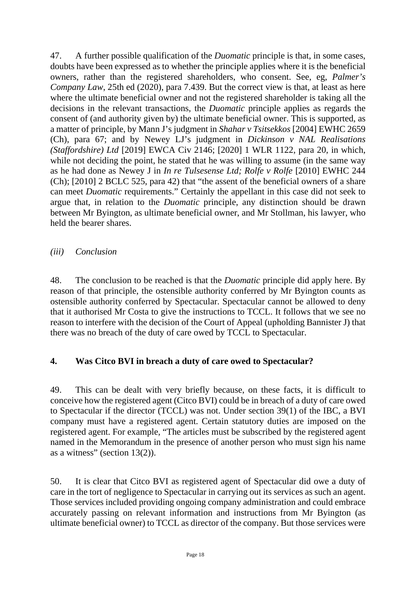47. A further possible qualification of the *Duomatic* principle is that, in some cases, doubts have been expressed as to whether the principle applies where it is the beneficial owners, rather than the registered shareholders, who consent. See, eg, *Palmer's Company Law*, 25th ed (2020), para 7.439. But the correct view is that, at least as here where the ultimate beneficial owner and not the registered shareholder is taking all the decisions in the relevant transactions, the *Duomatic* principle applies as regards the consent of (and authority given by) the ultimate beneficial owner. This is supported, as a matter of principle, by Mann J's judgment in *Shahar v Tsitsekkos* [2004] EWHC 2659 (Ch), para 67; and by Newey LJ's judgment in *Dickinson v NAL Realisations (Staffordshire) Ltd* [2019] EWCA Civ 2146; [2020] 1 WLR 1122, para 20, in which, while not deciding the point, he stated that he was willing to assume (in the same way as he had done as Newey J in *In re Tulsesense Ltd; Rolfe v Rolfe* [2010] EWHC 244 (Ch); [2010] 2 BCLC 525, para 42) that "the assent of the beneficial owners of a share can meet *Duomatic* requirements." Certainly the appellant in this case did not seek to argue that, in relation to the *Duomatic* principle, any distinction should be drawn between Mr Byington, as ultimate beneficial owner, and Mr Stollman, his lawyer, who held the bearer shares.

*(iii) Conclusion*

48. The conclusion to be reached is that the *Duomatic* principle did apply here. By reason of that principle, the ostensible authority conferred by Mr Byington counts as ostensible authority conferred by Spectacular. Spectacular cannot be allowed to deny that it authorised Mr Costa to give the instructions to TCCL. It follows that we see no reason to interfere with the decision of the Court of Appeal (upholding Bannister J) that there was no breach of the duty of care owed by TCCL to Spectacular.

#### **4. Was Citco BVI in breach a duty of care owed to Spectacular?**

49. This can be dealt with very briefly because, on these facts, it is difficult to conceive how the registered agent (Citco BVI) could be in breach of a duty of care owed to Spectacular if the director (TCCL) was not. Under section 39(1) of the IBC, a BVI company must have a registered agent. Certain statutory duties are imposed on the registered agent. For example, "The articles must be subscribed by the registered agent named in the Memorandum in the presence of another person who must sign his name as a witness" (section 13(2)).

50. It is clear that Citco BVI as registered agent of Spectacular did owe a duty of care in the tort of negligence to Spectacular in carrying out its services as such an agent. Those services included providing ongoing company administration and could embrace accurately passing on relevant information and instructions from Mr Byington (as ultimate beneficial owner) to TCCL as director of the company. But those services were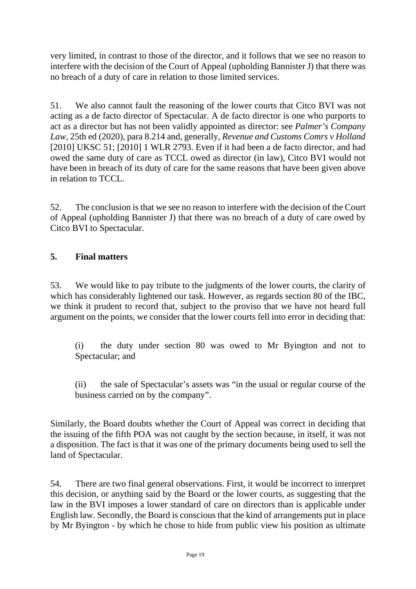very limited, in contrast to those of the director, and it follows that we see no reason to interfere with the decision of the Court of Appeal (upholding Bannister J) that there was no breach of a duty of care in relation to those limited services.

51. We also cannot fault the reasoning of the lower courts that Citco BVI was not acting as a de facto director of Spectacular. A de facto director is one who purports to act as a director but has not been validly appointed as director: see *Palmer's Company Law*, 25th ed (2020), para 8.214 and, generally, *Revenue and Customs Comrs v Holland* [2010] UKSC 51; [2010] 1 WLR 2793. Even if it had been a de facto director, and had owed the same duty of care as TCCL owed as director (in law), Citco BVI would not have been in breach of its duty of care for the same reasons that have been given above in relation to TCCL.

52. The conclusion is that we see no reason to interfere with the decision of the Court of Appeal (upholding Bannister J) that there was no breach of a duty of care owed by Citco BVI to Spectacular.

### **5. Final matters**

53. We would like to pay tribute to the judgments of the lower courts, the clarity of which has considerably lightened our task. However, as regards section 80 of the IBC, we think it prudent to record that, subject to the proviso that we have not heard full argument on the points, we consider that the lower courts fell into error in deciding that:

(i) the duty under section 80 was owed to Mr Byington and not to Spectacular; and

(ii) the sale of Spectacular's assets was "in the usual or regular course of the business carried on by the company".

Similarly, the Board doubts whether the Court of Appeal was correct in deciding that the issuing of the fifth POA was not caught by the section because, in itself, it was not a disposition. The fact is that it was one of the primary documents being used to sell the land of Spectacular.

54. There are two final general observations. First, it would be incorrect to interpret this decision, or anything said by the Board or the lower courts, as suggesting that the law in the BVI imposes a lower standard of care on directors than is applicable under English law. Secondly, the Board is conscious that the kind of arrangements put in place by Mr Byington - by which he chose to hide from public view his position as ultimate